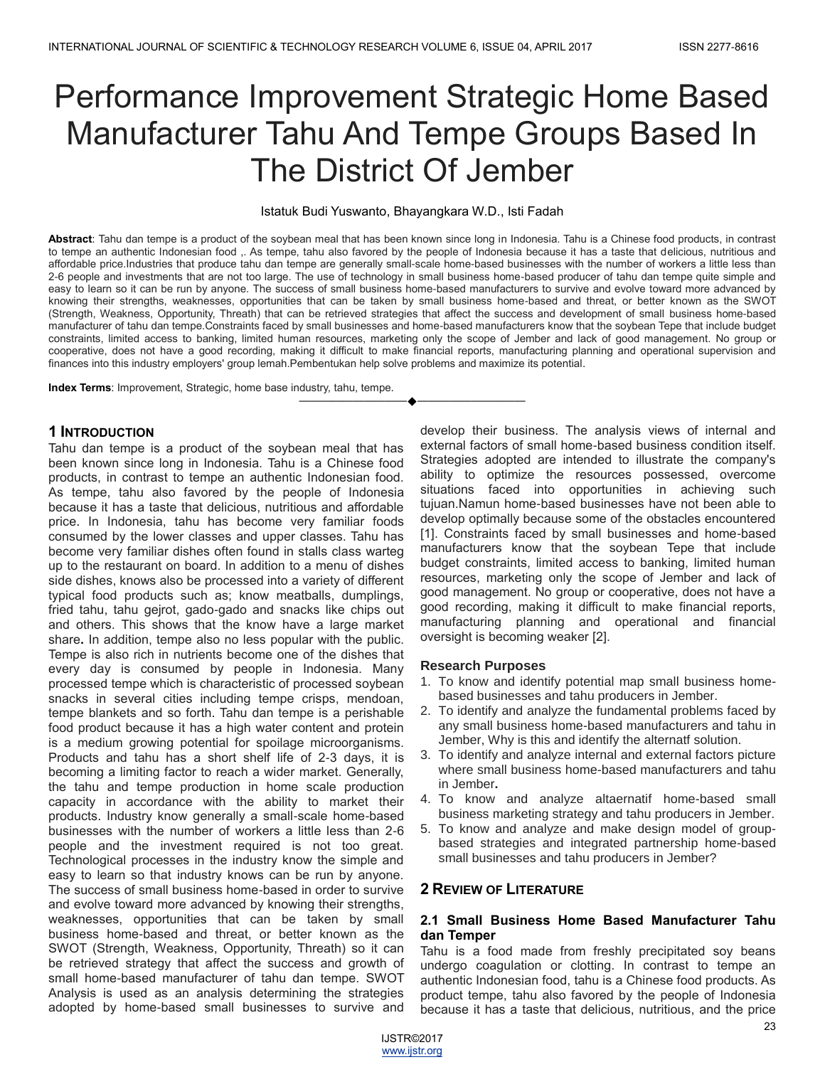# Performance Improvement Strategic Home Based Manufacturer Tahu And Tempe Groups Based In The District Of Jember

#### Istatuk Budi Yuswanto, Bhayangkara W.D., Isti Fadah

**Abstract**: Tahu dan tempe is a product of the soybean meal that has been known since long in Indonesia. Tahu is a Chinese food products, in contrast to tempe an authentic Indonesian food ,. As tempe, tahu also favored by the people of Indonesia because it has a taste that delicious, nutritious and affordable price.Industries that produce tahu dan tempe are generally small-scale home-based businesses with the number of workers a little less than 2-6 people and investments that are not too large. The use of technology in small business home-based producer of tahu dan tempe quite simple and easy to learn so it can be run by anyone. The success of small business home-based manufacturers to survive and evolve toward more advanced by knowing their strengths, weaknesses, opportunities that can be taken by small business home-based and threat, or better known as the SWOT (Strength, Weakness, Opportunity, Threath) that can be retrieved strategies that affect the success and development of small business home-based manufacturer of tahu dan tempe.Constraints faced by small businesses and home-based manufacturers know that the soybean Tepe that include budget constraints, limited access to banking, limited human resources, marketing only the scope of Jember and lack of good management. No group or cooperative, does not have a good recording, making it difficult to make financial reports, manufacturing planning and operational supervision and finances into this industry employers' group lemah.Pembentukan help solve problems and maximize its potential.

————————————————————

**Index Terms**: Improvement, Strategic, home base industry, tahu, tempe.

# **1 INTRODUCTION**

Tahu dan tempe is a product of the soybean meal that has been known since long in Indonesia. Tahu is a Chinese food products, in contrast to tempe an authentic Indonesian food. As tempe, tahu also favored by the people of Indonesia because it has a taste that delicious, nutritious and affordable price. In Indonesia, tahu has become very familiar foods consumed by the lower classes and upper classes. Tahu has become very familiar dishes often found in stalls class warteg up to the restaurant on board. In addition to a menu of dishes side dishes, knows also be processed into a variety of different typical food products such as; know meatballs, dumplings, fried tahu, tahu gejrot, gado-gado and snacks like chips out and others. This shows that the know have a large market share**.** In addition, tempe also no less popular with the public. Tempe is also rich in nutrients become one of the dishes that every day is consumed by people in Indonesia. Many processed tempe which is characteristic of processed soybean snacks in several cities including tempe crisps, mendoan, tempe blankets and so forth. Tahu dan tempe is a perishable food product because it has a high water content and protein is a medium growing potential for spoilage microorganisms. Products and tahu has a short shelf life of 2-3 days, it is becoming a limiting factor to reach a wider market. Generally, the tahu and tempe production in home scale production capacity in accordance with the ability to market their products. Industry know generally a small-scale home-based businesses with the number of workers a little less than 2-6 people and the investment required is not too great. Technological processes in the industry know the simple and easy to learn so that industry knows can be run by anyone. The success of small business home-based in order to survive and evolve toward more advanced by knowing their strengths, weaknesses, opportunities that can be taken by small business home-based and threat, or better known as the SWOT (Strength, Weakness, Opportunity, Threath) so it can be retrieved strategy that affect the success and growth of small home-based manufacturer of tahu dan tempe. SWOT Analysis is used as an analysis determining the strategies adopted by home-based small businesses to survive and

develop their business. The analysis views of internal and external factors of small home-based business condition itself. Strategies adopted are intended to illustrate the company's ability to optimize the resources possessed, overcome situations faced into opportunities in achieving such tujuan.Namun home-based businesses have not been able to develop optimally because some of the obstacles encountered [1]. Constraints faced by small businesses and home-based manufacturers know that the soybean Tepe that include budget constraints, limited access to banking, limited human resources, marketing only the scope of Jember and lack of good management. No group or cooperative, does not have a good recording, making it difficult to make financial reports, manufacturing planning and operational and financial oversight is becoming weaker [2].

#### **Research Purposes**

- 1. To know and identify potential map small business homebased businesses and tahu producers in Jember.
- 2. To identify and analyze the fundamental problems faced by any small business home-based manufacturers and tahu in Jember, Why is this and identify the alternatf solution.
- 3. To identify and analyze internal and external factors picture where small business home-based manufacturers and tahu in Jember**.**
- 4. To know and analyze altaernatif home-based small business marketing strategy and tahu producers in Jember.
- 5. To know and analyze and make design model of groupbased strategies and integrated partnership home-based small businesses and tahu producers in Jember?

# **2 REVIEW OF LITERATURE**

# **2.1 Small Business Home Based Manufacturer Tahu dan Temper**

Tahu is a food made from freshly precipitated soy beans undergo coagulation or clotting. In contrast to tempe an authentic Indonesian food, tahu is a Chinese food products. As product tempe, tahu also favored by the people of Indonesia because it has a taste that delicious, nutritious, and the price

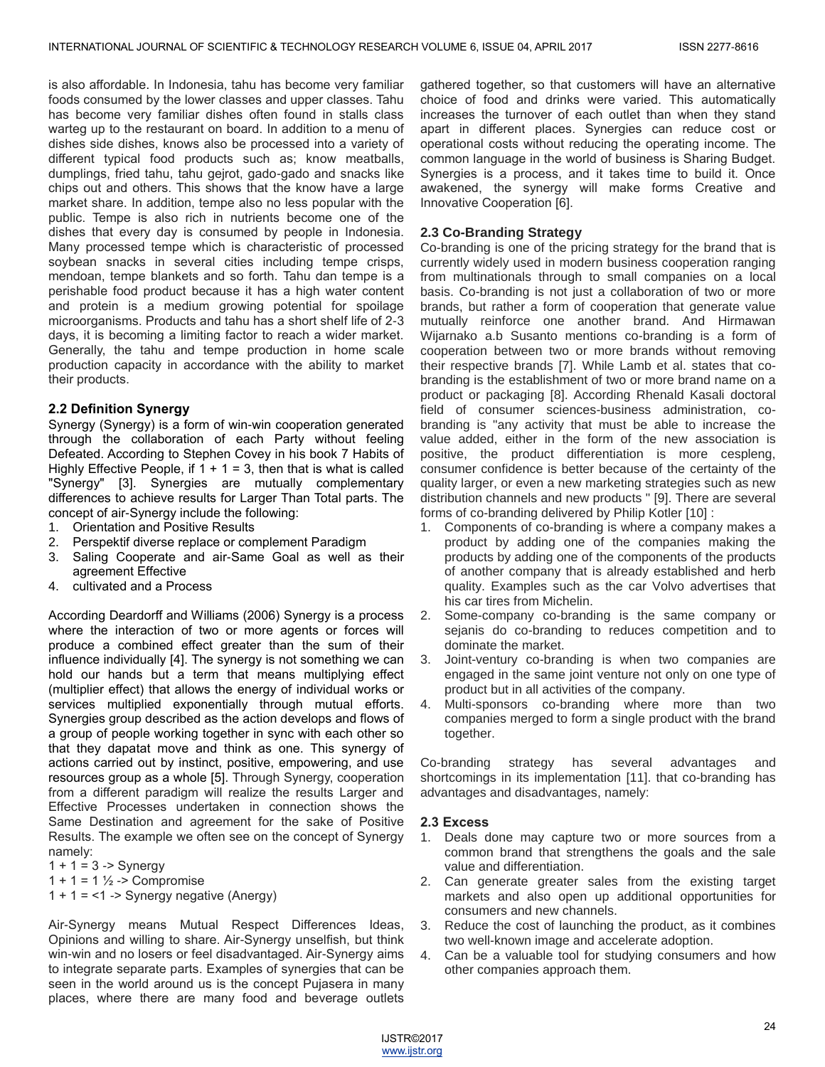is also affordable. In Indonesia, tahu has become very familiar foods consumed by the lower classes and upper classes. Tahu has become very familiar dishes often found in stalls class warteg up to the restaurant on board. In addition to a menu of dishes side dishes, knows also be processed into a variety of different typical food products such as; know meatballs, dumplings, fried tahu, tahu gejrot, gado-gado and snacks like chips out and others. This shows that the know have a large market share. In addition, tempe also no less popular with the public. Tempe is also rich in nutrients become one of the dishes that every day is consumed by people in Indonesia. Many processed tempe which is characteristic of processed soybean snacks in several cities including tempe crisps, mendoan, tempe blankets and so forth. Tahu dan tempe is a perishable food product because it has a high water content and protein is a medium growing potential for spoilage microorganisms. Products and tahu has a short shelf life of 2-3 days, it is becoming a limiting factor to reach a wider market. Generally, the tahu and tempe production in home scale production capacity in accordance with the ability to market their products.

## **2.2 Definition Synergy**

Synergy (Synergy) is a form of win-win cooperation generated through the collaboration of each Party without feeling Defeated. According to Stephen Covey in his book 7 Habits of Highly Effective People, if  $1 + 1 = 3$ , then that is what is called "Synergy" [3]. Synergies are mutually complementary differences to achieve results for Larger Than Total parts. The concept of air-Synergy include the following:

- 1. Orientation and Positive Results
- 2. Perspektif diverse replace or complement Paradigm
- 3. Saling Cooperate and air-Same Goal as well as their agreement Effective
- 4. cultivated and a Process

According Deardorff and Williams (2006) Synergy is a process where the interaction of two or more agents or forces will produce a combined effect greater than the sum of their influence individually [4]. The synergy is not something we can hold our hands but a term that means multiplying effect (multiplier effect) that allows the energy of individual works or services multiplied exponentially through mutual efforts. Synergies group described as the action develops and flows of a group of people working together in sync with each other so that they dapatat move and think as one. This synergy of actions carried out by instinct, positive, empowering, and use resources group as a whole [5]. Through Synergy, cooperation from a different paradigm will realize the results Larger and Effective Processes undertaken in connection shows the Same Destination and agreement for the sake of Positive Results. The example we often see on the concept of Synergy namely:

 $1 + 1 = 3$  -> Synergy

1 + 1 = 1  $\frac{1}{2}$  -> Compromise

 $1 + 1 = 1 - 5$  Synergy negative (Anergy)

Air-Synergy means Mutual Respect Differences Ideas, Opinions and willing to share. Air-Synergy unselfish, but think win-win and no losers or feel disadvantaged. Air-Synergy aims to integrate separate parts. Examples of synergies that can be seen in the world around us is the concept Pujasera in many places, where there are many food and beverage outlets

gathered together, so that customers will have an alternative choice of food and drinks were varied. This automatically increases the turnover of each outlet than when they stand apart in different places. Synergies can reduce cost or operational costs without reducing the operating income. The common language in the world of business is Sharing Budget. Synergies is a process, and it takes time to build it. Once awakened, the synergy will make forms Creative and Innovative Cooperation [6].

### **2.3 Co-Branding Strategy**

Co-branding is one of the pricing strategy for the brand that is currently widely used in modern business cooperation ranging from multinationals through to small companies on a local basis. Co-branding is not just a collaboration of two or more brands, but rather a form of cooperation that generate value mutually reinforce one another brand. And Hirmawan Wijarnako a.b Susanto mentions co-branding is a form of cooperation between two or more brands without removing their respective brands [7]. While Lamb et al. states that cobranding is the establishment of two or more brand name on a product or packaging [8]. According Rhenald Kasali doctoral field of consumer sciences-business administration, cobranding is "any activity that must be able to increase the value added, either in the form of the new association is positive, the product differentiation is more cespleng, consumer confidence is better because of the certainty of the quality larger, or even a new marketing strategies such as new distribution channels and new products " [9]. There are several forms of co-branding delivered by Philip Kotler [10] :

- 1. Components of co-branding is where a company makes a product by adding one of the companies making the products by adding one of the components of the products of another company that is already established and herb quality. Examples such as the car Volvo advertises that his car tires from Michelin.
- 2. Some-company co-branding is the same company or sejanis do co-branding to reduces competition and to dominate the market.
- 3. Joint-ventury co-branding is when two companies are engaged in the same joint venture not only on one type of product but in all activities of the company.
- 4. Multi-sponsors co-branding where more than two companies merged to form a single product with the brand together.

Co-branding strategy has several advantages and shortcomings in its implementation [11]. that co-branding has advantages and disadvantages, namely:

#### **2.3 Excess**

- 1. Deals done may capture two or more sources from a common brand that strengthens the goals and the sale value and differentiation.
- 2. Can generate greater sales from the existing target markets and also open up additional opportunities for consumers and new channels.
- 3. Reduce the cost of launching the product, as it combines two well-known image and accelerate adoption.
- 4. Can be a valuable tool for studying consumers and how other companies approach them.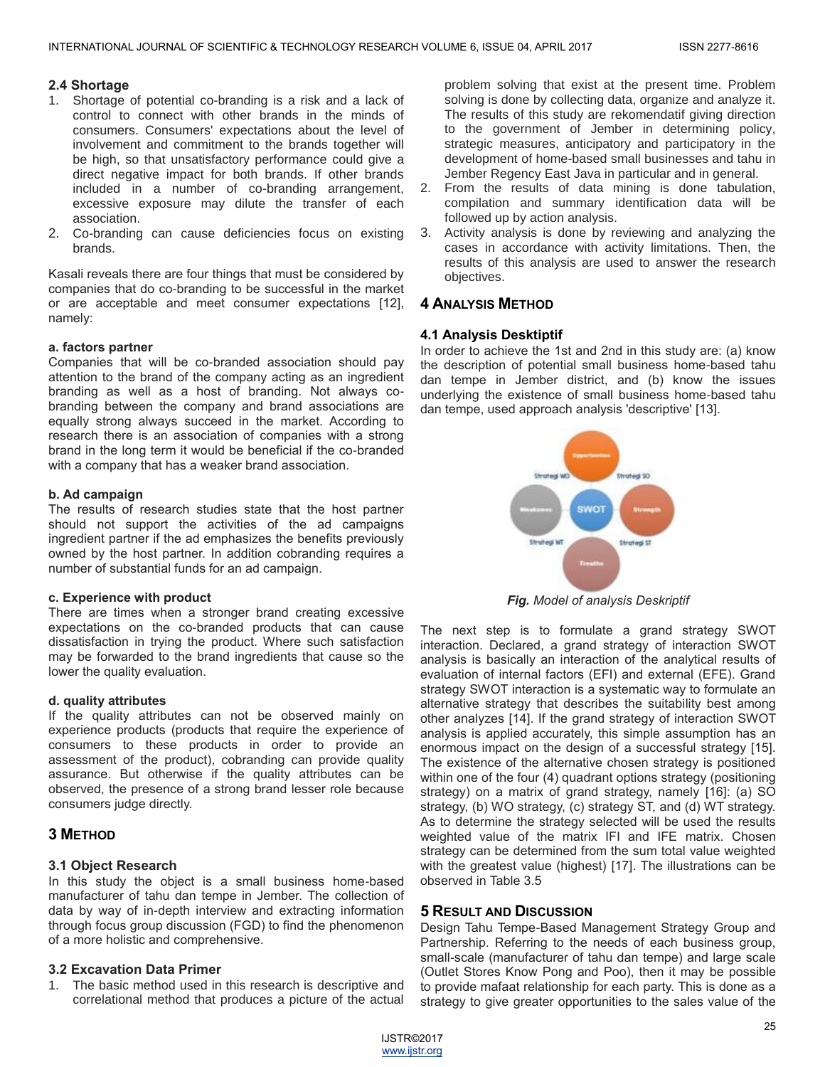# **2.4 Shortage**

- 1. Shortage of potential co-branding is a risk and a lack of control to connect with other brands in the minds of consumers. Consumers' expectations about the level of involvement and commitment to the brands together will be high, so that unsatisfactory performance could give a direct negative impact for both brands. If other brands included in a number of co-branding arrangement, excessive exposure may dilute the transfer of each association.
- 2. Co-branding can cause deficiencies focus on existing brands.

Kasali reveals there are four things that must be considered by companies that do co-branding to be successful in the market or are acceptable and meet consumer expectations [12], namely:

# **a. factors partner**

Companies that will be co-branded association should pay attention to the brand of the company acting as an ingredient branding as well as a host of branding. Not always cobranding between the company and brand associations are equally strong always succeed in the market. According to research there is an association of companies with a strong brand in the long term it would be beneficial if the co-branded with a company that has a weaker brand association.

## **b. Ad campaign**

The results of research studies state that the host partner should not support the activities of the ad campaigns ingredient partner if the ad emphasizes the benefits previously owned by the host partner. In addition cobranding requires a number of substantial funds for an ad campaign.

# **c. Experience with product**

There are times when a stronger brand creating excessive expectations on the co-branded products that can cause dissatisfaction in trying the product. Where such satisfaction may be forwarded to the brand ingredients that cause so the lower the quality evaluation.

# **d. quality attributes**

If the quality attributes can not be observed mainly on experience products (products that require the experience of consumers to these products in order to provide an assessment of the product), cobranding can provide quality assurance. But otherwise if the quality attributes can be observed, the presence of a strong brand lesser role because consumers judge directly.

# **3 METHOD**

# **3.1 Object Research**

In this study the object is a small business home-based manufacturer of tahu dan tempe in Jember. The collection of data by way of in-depth interview and extracting information through focus group discussion (FGD) to find the phenomenon of a more holistic and comprehensive.

# **3.2 Excavation Data Primer**

1. The basic method used in this research is descriptive and correlational method that produces a picture of the actual problem solving that exist at the present time. Problem solving is done by collecting data, organize and analyze it. The results of this study are rekomendatif giving direction to the government of Jember in determining policy, strategic measures, anticipatory and participatory in the development of home-based small businesses and tahu in Jember Regency East Java in particular and in general.

- 2. From the results of data mining is done tabulation, compilation and summary identification data will be followed up by action analysis.
- 3. Activity analysis is done by reviewing and analyzing the cases in accordance with activity limitations. Then, the results of this analysis are used to answer the research objectives.

# **4 ANALYSIS METHOD**

# **4.1 Analysis Desktiptif**

In order to achieve the 1st and 2nd in this study are: (a) know the description of potential small business home-based tahu dan tempe in Jember district, and (b) know the issues underlying the existence of small business home-based tahu dan tempe, used approach analysis 'descriptive' [13].



*Fig. Model of analysis Deskriptif*

The next step is to formulate a grand strategy SWOT interaction. Declared, a grand strategy of interaction SWOT analysis is basically an interaction of the analytical results of evaluation of internal factors (EFI) and external (EFE). Grand strategy SWOT interaction is a systematic way to formulate an alternative strategy that describes the suitability best among other analyzes [14]. If the grand strategy of interaction SWOT analysis is applied accurately, this simple assumption has an enormous impact on the design of a successful strategy [15]. The existence of the alternative chosen strategy is positioned within one of the four (4) quadrant options strategy (positioning strategy) on a matrix of grand strategy, namely [16]: (a) SO strategy, (b) WO strategy, (c) strategy ST, and (d) WT strategy. As to determine the strategy selected will be used the results weighted value of the matrix IFI and IFE matrix. Chosen strategy can be determined from the sum total value weighted with the greatest value (highest) [17]. The illustrations can be observed in Table 3.5

# **5 RESULT AND DISCUSSION**

Design Tahu Tempe-Based Management Strategy Group and Partnership. Referring to the needs of each business group, small-scale (manufacturer of tahu dan tempe) and large scale (Outlet Stores Know Pong and Poo), then it may be possible to provide mafaat relationship for each party. This is done as a strategy to give greater opportunities to the sales value of the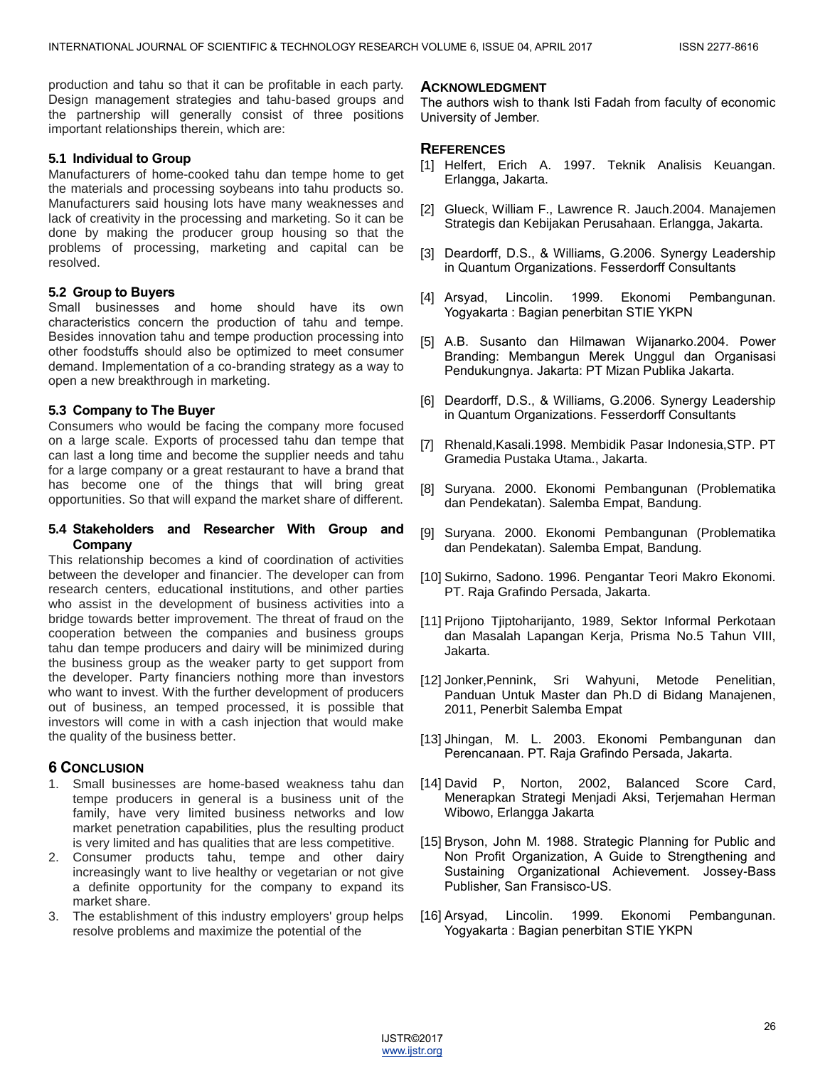production and tahu so that it can be profitable in each party. Design management strategies and tahu-based groups and the partnership will generally consist of three positions important relationships therein, which are:

## **5.1 Individual to Group**

Manufacturers of home-cooked tahu dan tempe home to get the materials and processing soybeans into tahu products so. Manufacturers said housing lots have many weaknesses and lack of creativity in the processing and marketing. So it can be done by making the producer group housing so that the problems of processing, marketing and capital can be resolved.

## **5.2 Group to Buyers**

Small businesses and home should have its own characteristics concern the production of tahu and tempe. Besides innovation tahu and tempe production processing into other foodstuffs should also be optimized to meet consumer demand. Implementation of a co-branding strategy as a way to open a new breakthrough in marketing.

## **5.3 Company to The Buyer**

Consumers who would be facing the company more focused on a large scale. Exports of processed tahu dan tempe that can last a long time and become the supplier needs and tahu for a large company or a great restaurant to have a brand that has become one of the things that will bring great opportunities. So that will expand the market share of different.

#### **5.4 Stakeholders and Researcher With Group and Company**

This relationship becomes a kind of coordination of activities between the developer and financier. The developer can from research centers, educational institutions, and other parties who assist in the development of business activities into a bridge towards better improvement. The threat of fraud on the cooperation between the companies and business groups tahu dan tempe producers and dairy will be minimized during the business group as the weaker party to get support from the developer. Party financiers nothing more than investors who want to invest. With the further development of producers out of business, an temped processed, it is possible that investors will come in with a cash injection that would make the quality of the business better.

# **6 CONCLUSION**

- 1. Small businesses are home-based weakness tahu dan tempe producers in general is a business unit of the family, have very limited business networks and low market penetration capabilities, plus the resulting product is very limited and has qualities that are less competitive.
- 2. Consumer products tahu, tempe and other dairy increasingly want to live healthy or vegetarian or not give a definite opportunity for the company to expand its market share.
- 3. The establishment of this industry employers' group helps resolve problems and maximize the potential of the

## **ACKNOWLEDGMENT**

The authors wish to thank Isti Fadah from faculty of economic University of Jember.

## **REFERENCES**

- [1] Helfert, Erich A. 1997. Teknik Analisis Keuangan. Erlangga, Jakarta.
- [2] Glueck, William F., Lawrence R. Jauch.2004. Manajemen Strategis dan Kebijakan Perusahaan. Erlangga, Jakarta.
- [3] Deardorff, D.S., & Williams, G.2006. Synergy Leadership in Quantum Organizations. Fesserdorff Consultants
- [4] Arsyad, Lincolin. 1999. Ekonomi Pembangunan. Yogyakarta : Bagian penerbitan STIE YKPN
- [5] A.B. Susanto dan Hilmawan Wijanarko.2004. Power Branding: Membangun Merek Unggul dan Organisasi Pendukungnya. Jakarta: PT Mizan Publika Jakarta.
- [6] Deardorff, D.S., & Williams, G.2006. Synergy Leadership in Quantum Organizations. Fesserdorff Consultants
- [7] Rhenald,Kasali.1998. Membidik Pasar Indonesia,STP. PT Gramedia Pustaka Utama., Jakarta.
- [8] Suryana. 2000. Ekonomi Pembangunan (Problematika dan Pendekatan). Salemba Empat, Bandung.
- [9] Suryana. 2000. Ekonomi Pembangunan (Problematika dan Pendekatan). Salemba Empat, Bandung.
- [10] Sukirno, Sadono. 1996. Pengantar Teori Makro Ekonomi. PT. Raja Grafindo Persada, Jakarta.
- [11] Prijono Tjiptoharijanto, 1989, Sektor Informal Perkotaan dan Masalah Lapangan Kerja, Prisma No.5 Tahun VIII, Jakarta.
- [12] Jonker,Pennink, Sri Wahyuni, Metode Penelitian, Panduan Untuk Master dan Ph.D di Bidang Manajenen, 2011, Penerbit Salemba Empat
- [13] Jhingan, M. L. 2003. Ekonomi Pembangunan dan Perencanaan. PT. Raja Grafindo Persada, Jakarta.
- [14] David P, Norton, 2002, Balanced Score Card, Menerapkan Strategi Menjadi Aksi, Terjemahan Herman Wibowo, Erlangga Jakarta
- [15] Bryson, John M. 1988. Strategic Planning for Public and Non Profit Organization, A Guide to Strengthening and Sustaining Organizational Achievement. Jossey-Bass Publisher, San Fransisco-US.
- [16] Arsyad, Lincolin. 1999. Ekonomi Pembangunan. Yogyakarta : Bagian penerbitan STIE YKPN